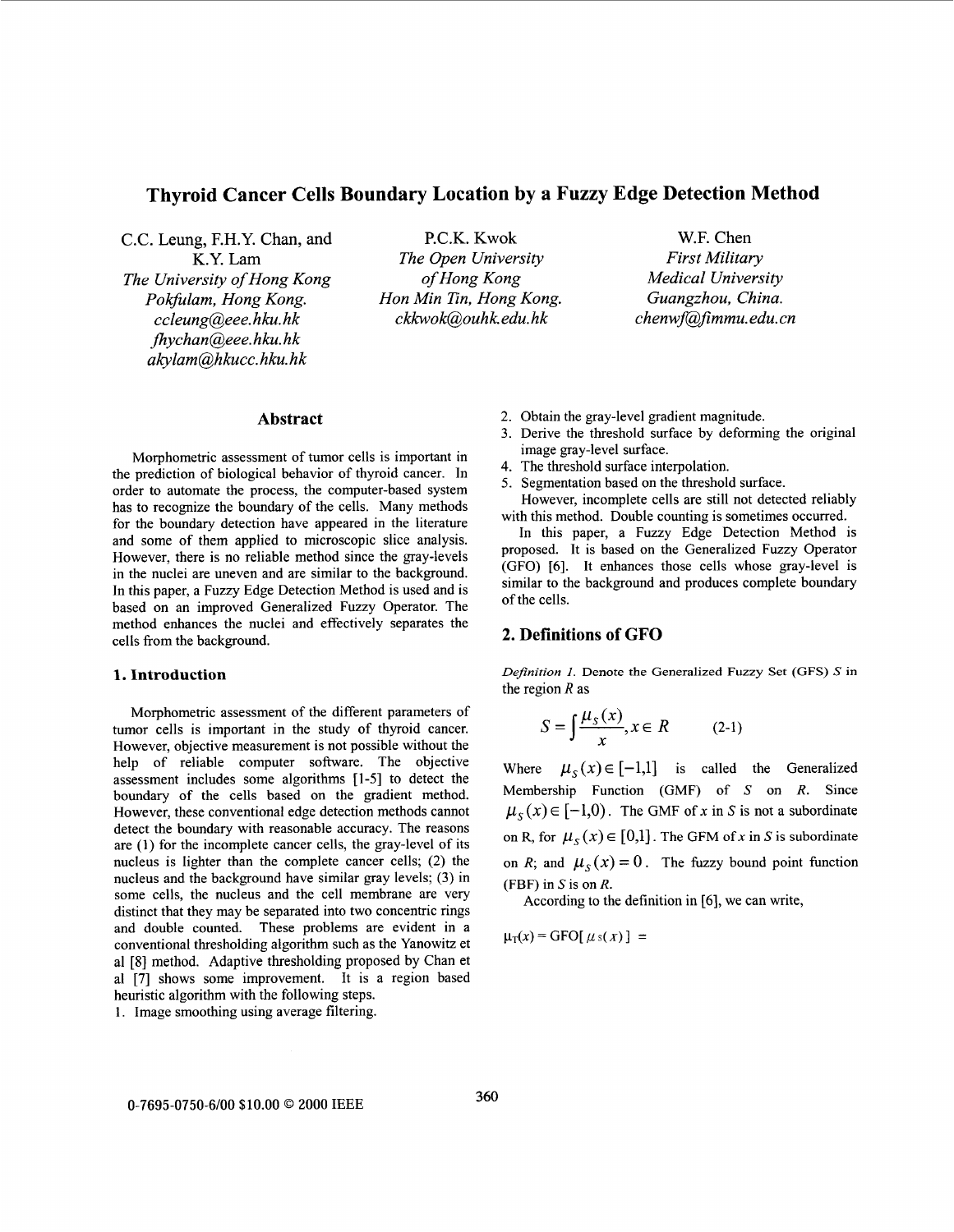# **Thyroid Cancer Cells Boundary Location by a Fuzzy Edge Detection Method**

C.C. Leung, F.H.Y. Chan, and P.C.K. **Kwok** W.F. Chen *The University of Hong Kong of Hong Kong Medical University Pokfulam, Hong Kong. Hon Min Tin, Hong Kong. Guangzhou, China. ccleung@eee. hku. hk fhychanaeee. hku. hk akylam@hkucc. hku. hk* 

K.Y. Lam *The Open University First Military* 

 $ckkwok@ouhk.edu.hk$  *chenwf@fimmu.edu.cn* 

Morphometric assessment of tumor cells is important in the prediction of biological behavior of thyroid cancer. In order to automate the process, the computer-based system has to recognize the boundary of the cells. Many methods for the boundary detection have appeared in the literature and some of them applied to microscopic slice analysis. However, there is no reliable method since the gray-levels in the nuclei are uneven and are similar to the background. based on an improved Generalized Fuzzy Operator. The In this paper, a Fuzzy Edge Detection Method is used and is method enhances the nuclei and effectively separates the cells from the background.

# **1. Introduction**

Morphometric assessment of the different parameters of tumor cells is important in the study of thyroid cancer. However, objective measurement is not possible without the help of reliable computer software. The objective assessment includes some algorithms [ **1-51** to detect the boundary of the cells based on the gradient method. However, these conventional edge detection methods cannot detect the boundary with reasonable accuracy. The reasons are **(1)** for the incomplete cancer cells, the gray-level of its nucleus is lighter than the complete cancer cells; **(2)** the nucleus and the background have similar gray levels; **(3)** in some cells, the nucleus and the cell membrane are very distinct that they may be separated into two concentric rings and double counted. These problems are evident in a conventional thresholding algorithm such as the Yanowitz et a1 **[8]** method. Adaptive thresholding proposed by Chan et a1 **[7]** shows some improvement. It is a region based heuristic algorithm with the following steps.

1. Image smoothing using average filtering.

- Abstract 2. Obtain the gray-level gradient magnitude.
	- 3. Derive the threshold surface by deforming the original image gray-level surface.
	- 4. The threshold surface interpolation.
	- 5. Segmentation based on the threshold surface. However, incomplete cells are still not detected reliably with this method. Double counting is sometimes occurred.

In this paper, a Fuzzy Edge Detection Method is proposed. It is based on the Generalized Fuzzy Operator (GFO) **[6].** It enhances those cells whose gray-level is of the cells.

# **2. Definitions of GFO**

*Definition I.* **Denote the Generalized Fuzzy Set (GFS)** *S* **in**  the region *R* as

$$
S = \int \frac{\mu_s(x)}{x}, x \in R \qquad (2-1)
$$

Where  $\mu_s(x) \in [-1,1]$  is called the Generalized Membership Function (GMF) of S on *R.* Since  $\mu_{\varsigma}(x) \in [-1,0)$ . The GMF of *x* in *S* is not a subordinate on R, for  $\mu_S(x) \in [0,1]$ . The GFM of x in S is subordinate on *R*; and  $\mu_S(x) = 0$ . The fuzzy bound point function (FBF) in S is on *R.* 

According to the definition in *[6],* we can write,

 $\mu_T(x)$  = GFO[ $\mu$ s(x)] =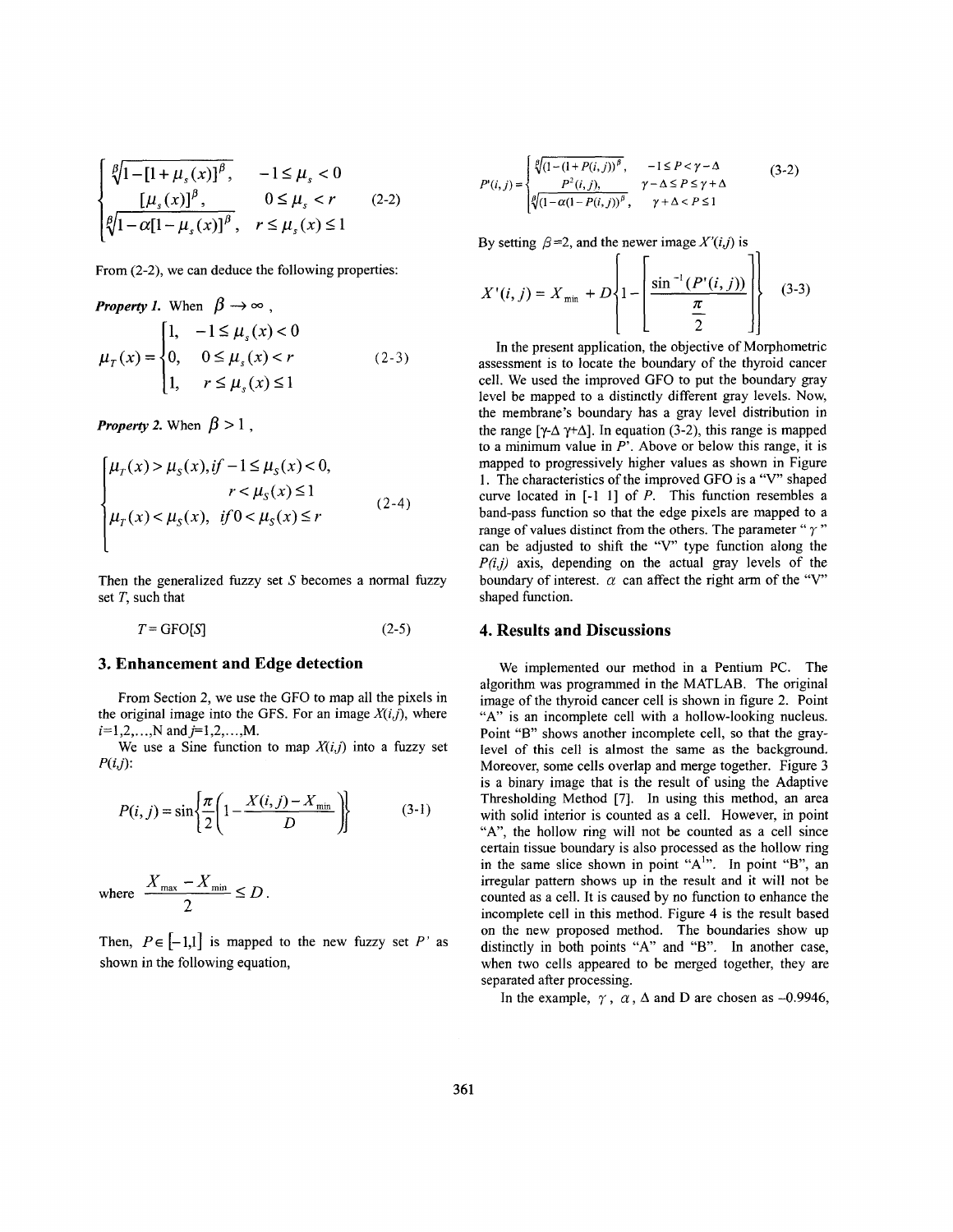$$
\begin{cases} \sqrt[\beta]{1 - [1 + \mu_s(x)]^{\beta}}, & -1 \le \mu_s < 0 \\ \frac{[\mu_s(x)]^{\beta}}{\sqrt[3]{1 - \alpha[1 - \mu_s(x)]^{\beta}}, & r \le \mu_s(x) \le 1 \end{cases} \tag{2-2}
$$

From  $(2-2)$ , we can deduce the following properties:

**Property 1.** When  $\beta \rightarrow \infty$ ,

$$
\mu_{T}(x) = \begin{cases}\n1, & -1 \le \mu_{s}(x) < 0 \\
0, & 0 \le \mu_{s}(x) < r \\
1, & r \le \mu_{s}(x) \le 1\n\end{cases}
$$
\n(2-3)

*Property 2.* When  $\beta > 1$ ,

$$
\begin{cases} \n\mu_{\tau}(x) > \mu_{\varsigma}(x), \text{if } -1 \leq \mu_{\varsigma}(x) < 0, \\ \n\mu_{\tau}(x) < \mu_{\varsigma}(x), \text{if } 0 < \mu_{\varsigma}(x) \leq r \n\end{cases} \tag{2-4}
$$

Then the generalized fuzzy set  $S$  becomes a normal fuzzy set *T,* such that

 $T = GFO[S]$  (2-5)

### **3. Enhancement and Edge detection**

From Section *2,* we use the GFO to map all the pixels in the original image into the GFS. For an image  $X(i,j)$ , where  $i=1,2,...,N$  and  $j=1,2,...,M$ .

We use a Sine function to map  $X(i,j)$  into a fuzzy set  $P(i,j)$ :

$$
P(i, j) = \sin\left\{\frac{\pi}{2} \left(1 - \frac{X(i, j) - X_{\min}}{D}\right)\right\}
$$
 (3-1)

where 
$$
\frac{X_{\max} - X_{\min}}{2} \le D.
$$

Then,  $P \in [-1,1]$  is mapped to the new fuzzy set P' as shown in the following equation,

$$
P'(i,j) = \begin{cases} \sqrt[p]{(1 - (1 + P(i,j))^{\beta}}, & -1 \le P < \gamma - \Delta \\ P^2(i,j), & \gamma - \Delta \le P \le \gamma + \Delta \\ \sqrt[p]{(1 - \alpha(1 - P(i,j))^{\beta}}, & \gamma + \Delta < P \le 1 \end{cases}
$$
(3-2)

By setting  $\beta = 2$ , and the newer image *X'(i,j)* is

$$
X'(i, j) = X_{\min} + D \left\{ 1 - \left[ \frac{\sin^{-1}(P'(i, j))}{\frac{\pi}{2}} \right] \right\}
$$
 (3-3)

In the present application, the objective of Morphometric assessment is to locate the boundary of the thyroid cancer cell. We used the improved GFO to put the boundary gray level be mapped to a distinctly different gray levels. Now, the membrane's boundary has a gray level distribution in the range  $[\gamma-\Delta \gamma+\Delta]$ . In equation (3-2), this range is mapped to a minimum value in *P'.* Above or below this range, it is mapped to progressively higher values as shown in [Figure](#page-2-0)  [1.](#page-2-0) The characteristics of the improved GFO is a "V" shaped curve located in [-I 11 of *P.* This function resembles a band-pass function *so* that the edge pixels are mapped to a range of values distinct from the others. The parameter " $\gamma$ " can be adjusted to shift the "V" type function along the  $P(i,j)$  axis, depending on the actual gray levels of the boundary of interest.  $\alpha$  can affect the right arm of the "V" shaped function.

## **4. Results and Discussions**

We implemented our method in a Pentium PC. The algorithm was programmed in the MATLAB. The original image of the thyroid cancer cell is shown in figure 2. Point "A" is an incomplete cell with a hollow-looking nucleus. Point "B" shows another incomplete cell, so that the graylevel of this cell is almost the same as the background. Moreover, some cells overlap and merge together. [Figure 3](#page-3-0) is a binary image that is the result of using the Adaptive Thresholding Method **[7].** In using this method, an area with solid interior is counted as a cell. However, in point "A", the hollow ring will not be counted as a cell since certain tissue boundary is also processed as the hollow ring in the same slice shown in point "A<sup>1</sup>". In point "B", an irregular pattern shows up in the result and it will not be counted as a cell. It is caused by no function to enhance the incomplete cell in this method. [Figure 4](#page-3-0) is the result based on the new proposed method. The boundaries show up incomplete cell in this method. Figure 4 is the result based<br>on the new proposed method. The boundaries show up<br>distinctly in both points "A" and "B". In another case, when two cells appeared to be merged together, they are separated after processing.

In the example,  $\gamma$ ,  $\alpha$ ,  $\Delta$  and D are chosen as -0.9946,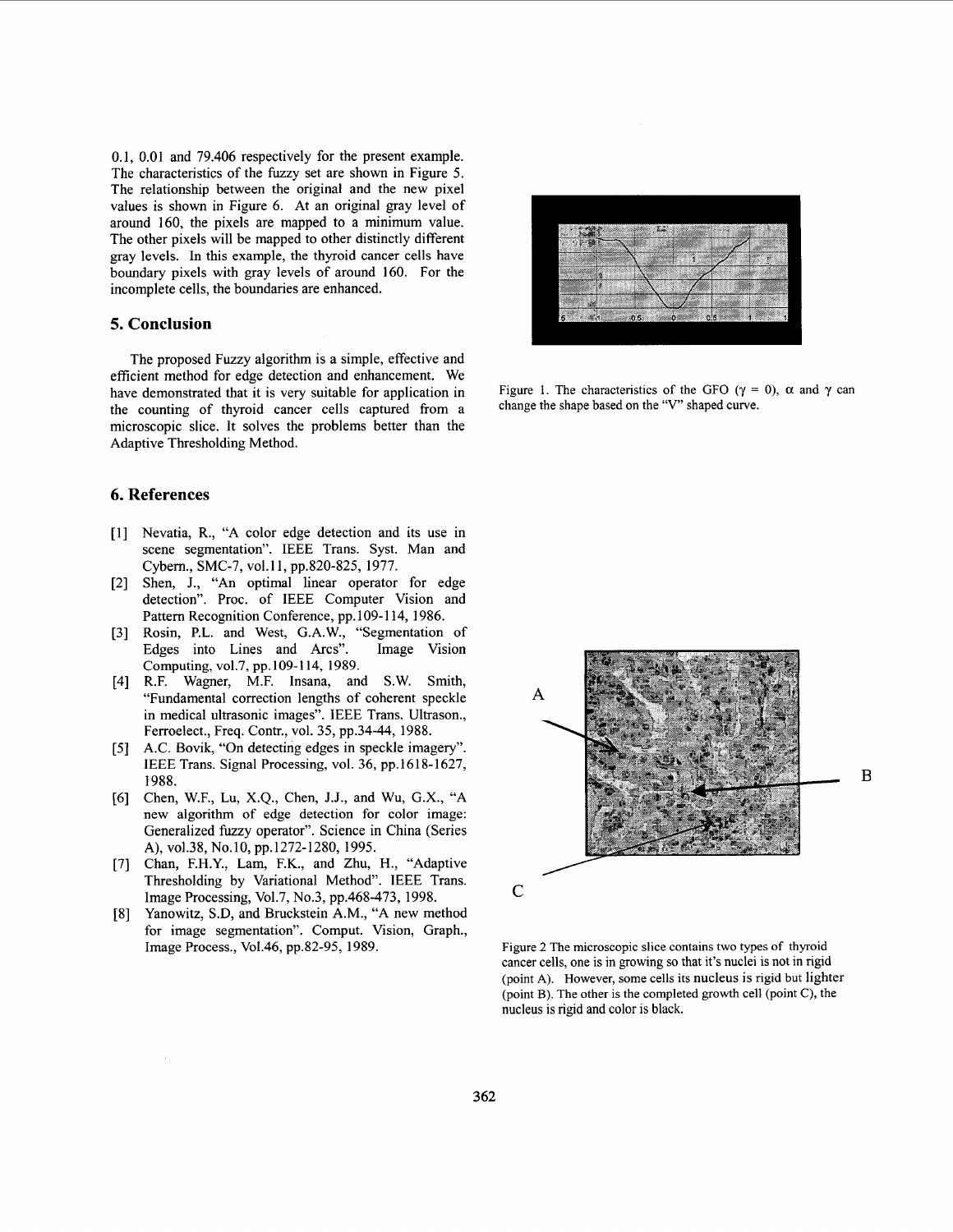<span id="page-2-0"></span>0.1, 0.01 and 79.406 respectively for the present example. The characteristics of the fiuzy set are shown in [Figure 5.](#page-3-0) The relationship between the original and the new pixel values is shown in [Figure 6.](#page-3-0) At an original gray level of around 160, the pixels are mapped to a minimum value. The other pixels will be mapped to other distinctly different gray levels. In this example, the thyroid cancer cells have boundary pixels with gray levels of around 160. For the incomplete cells, the boundaries are enhanced.

# **5. Conclusion**

The proposed Fuzzy algorithm is a simple, effective and efficient method for edge detection and enhancement. We have demonstrated that it is very suitable for application in the counting of thyroid cancer cells captured from a microscopic slice. It solves the problems better than the Adaptive Thresholding Method.

# **6. References**

- [1] Nevatia, R., "A color edge detection and its use in scene segmentation". IEEE Trans. Syst. Man and Cybem., SMC-7, vol. 11, pp.820-825, 1977.
- Shen, J., "An optimal linear operator for edge detection". Proc. of IEEE Computer Vision and Pattem Recognition Conference, pp. 109-1 14, 1986.
- [3] Rosin, P.L. and West, G.A.W., "Segmentation of Edges into Lines and Arcs". Image Vision Computing, vo1.7, pp.109-114, 1989.
- R.F. Wagner, M.F. Insana, and S.W. Smith, "Fundamental correction lengths of coherent speckle in medical ultrasonic images". IEEE Trans. Ultrason., Ferroelect., Freq. Contr., vol. 35, pp.34-44, 1988.
- A.C. Bovik, "On detecting edges in speckle imagery". IEEE Trans. Signal Processing, vol. 36, pp. 1618-1627, 1988.
- [6] Chen, W.F., Lu, X.Q., Chen, J.J., and Wu, G.X., "A new algorithm of edge detection for color image: Generalized fuzzy operator". Science in China (Series A), vol.38, No.10, pp.1272-1280, 1995.
- [7] Chan, F.H.Y., Lam, F.K., and Zhu, H., "Adaptive Thresholding by Variational Method". IEEE Trans. Image Processing, Vo1.7, No.3, pp.468-473, 1998.
- $[8]$ Yanowitz, S.D, and Bruckstein A.M., "A new method for image segmentation". Comput. Vision, Graph., Image Process., Vo1.46, pp.82-95, 1989.



Figure 1. The characteristics of the GFO ( $\gamma = 0$ ),  $\alpha$  and  $\gamma$  can change the shape based on the "V" shaped curve.



Figure 2 The microscopic slice contains two types of thyroid cancer cells, one is in growing so that it's nuclei is not in rigid (point **A).** However, some cells its nucleus is rigid but lighter (point B). The other is the completed growth cell (point C), the nucleus is rigid and color is black.

B